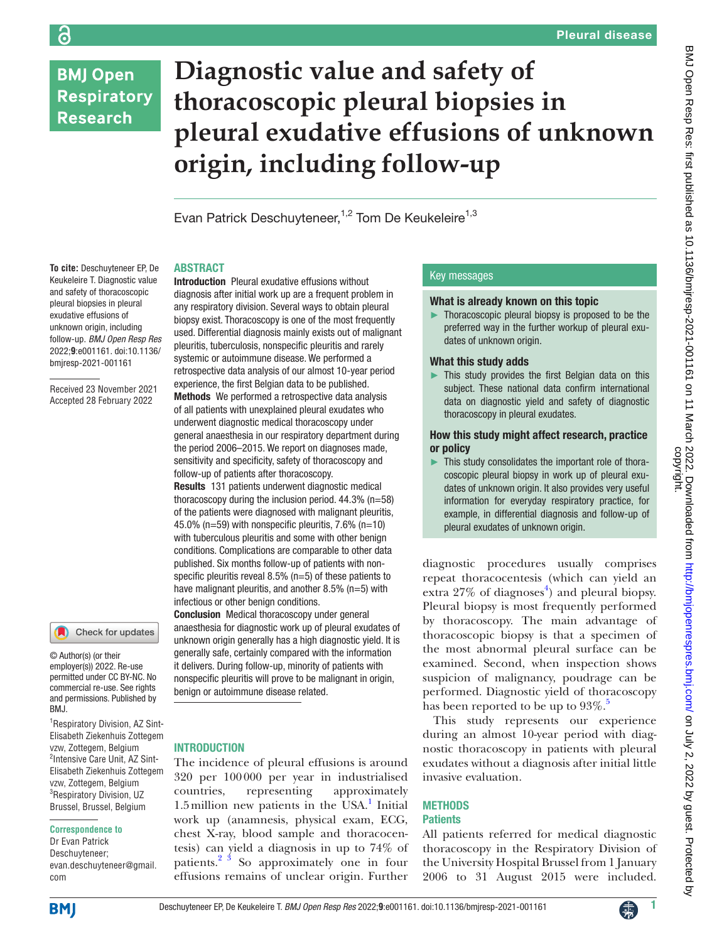## **BMJ Open Respiratory Research**

# **Diagnostic value and safety of thoracoscopic pleural biopsies in pleural exudative effusions of unknown origin, including follow-up**

Evan Patrick Deschuyteneer,<sup>1,2</sup> Tom De Keukeleire<sup>1,3</sup>

#### ABSTRACT

**To cite:** Deschuyteneer EP, De Keukeleire T. Diagnostic value and safety of thoracoscopic pleural biopsies in pleural exudative effusions of unknown origin, including follow-up. *BMJ Open Resp Res* 2022;**9**:e001161. doi:10.1136/ bmjresp-2021-001161

Received 23 November 2021 Accepted 28 February 2022



© Author(s) (or their employer(s)) 2022. Re-use permitted under CC BY-NC. No commercial re-use. See rights and permissions. Published by BMJ.

1 Respiratory Division, AZ Sint-Elisabeth Ziekenhuis Zottegem vzw, Zottegem, Belgium <sup>2</sup>Intensive Care Unit, AZ Sint-Elisabeth Ziekenhuis Zottegem vzw, Zottegem, Belgium <sup>3</sup>Respiratory Division, UZ Brussel, Brussel, Belgium

#### **Correspondence to**

Dr Evan Patrick Deschuyteneer; evan.deschuyteneer@gmail. com

Introduction Pleural exudative effusions without diagnosis after initial work up are a frequent problem in any respiratory division. Several ways to obtain pleural biopsy exist. Thoracoscopy is one of the most frequently used. Differential diagnosis mainly exists out of malignant pleuritis, tuberculosis, nonspecific pleuritis and rarely systemic or autoimmune disease. We performed a retrospective data analysis of our almost 10-year period experience, the first Belgian data to be published. Methods We performed a retrospective data analysis

of all patients with unexplained pleural exudates who underwent diagnostic medical thoracoscopy under general anaesthesia in our respiratory department during the period 2006–2015. We report on diagnoses made, sensitivity and specificity, safety of thoracoscopy and follow-up of patients after thoracoscopy.

Results 131 patients underwent diagnostic medical thoracoscopy during the inclusion period. 44.3% (n=58) of the patients were diagnosed with malignant pleuritis, 45.0% ( $n=59$ ) with nonspecific pleuritis, 7.6% ( $n=10$ ) with tuberculous pleuritis and some with other benign conditions. Complications are comparable to other data published. Six months follow-up of patients with nonspecific pleuritis reveal 8.5% (n=5) of these patients to have malignant pleuritis, and another 8.5% (n=5) with infectious or other benign conditions.

Conclusion Medical thoracoscopy under general anaesthesia for diagnostic work up of pleural exudates of unknown origin generally has a high diagnostic yield. It is generally safe, certainly compared with the information it delivers. During follow-up, minority of patients with nonspecific pleuritis will prove to be malignant in origin, benign or autoimmune disease related.

#### **INTRODUCTION**

The incidence of pleural effusions is around 320 per 100000 per year in industrialised countries, representing approximately 1.5 million new patients in the USA.<sup>1</sup> Initial work up (anamnesis, physical exam, ECG, chest X-ray, blood sample and thoracocentesis) can yield a diagnosis in up to 74% of patients. $2 \times 3$  So approximately one in four effusions remains of unclear origin. Further

#### Key messages

#### What is already known on this topic

► Thoracoscopic pleural biopsy is proposed to be the preferred way in the further workup of pleural exudates of unknown origin.

#### What this study adds

This study provides the first Belgian data on this subject. These national data confirm international data on diagnostic yield and safety of diagnostic thoracoscopy in pleural exudates.

#### How this study might affect research, practice or policy

This study consolidates the important role of thoracoscopic pleural biopsy in work up of pleural exudates of unknown origin. It also provides very useful information for everyday respiratory practice, for example, in differential diagnosis and follow-up of pleural exudates of unknown origin.

diagnostic procedures usually comprises repeat thoracocentesis (which can yield an extra  $27\%$  of diagnoses<sup>[4](#page-6-2)</sup>) and pleural biopsy. Pleural biopsy is most frequently performed by thoracoscopy. The main advantage of thoracoscopic biopsy is that a specimen of the most abnormal pleural surface can be examined. Second, when inspection shows suspicion of malignancy, poudrage can be performed. Diagnostic yield of thoracoscopy has been reported to be up to  $93\%$ .<sup>[5](#page-6-3)</sup>

This study represents our experience during an almost 10-year period with diagnostic thoracoscopy in patients with pleural exudates without a diagnosis after initial little invasive evaluation.

#### **METHODS Patients**

All patients referred for medical diagnostic thoracoscopy in the Respiratory Division of the University Hospital Brussel from 1 January 2006 to 31 August 2015 were included.

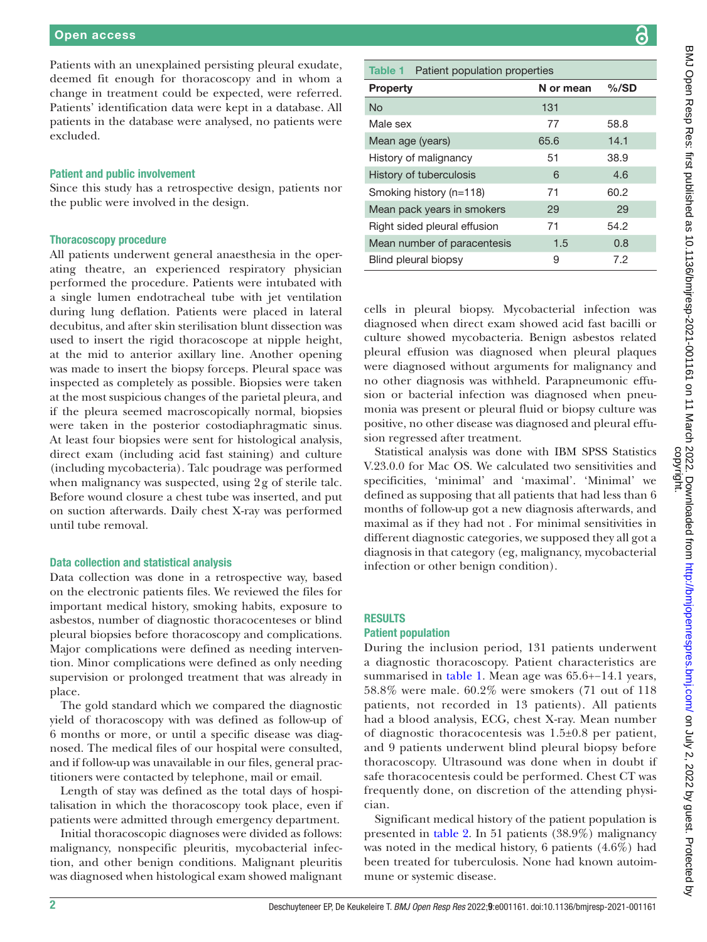Patients with an unexplained persisting pleural exudate, deemed fit enough for thoracoscopy and in whom a change in treatment could be expected, were referred. Patients' identification data were kept in a database. All patients in the database were analysed, no patients were excluded.

#### Patient and public involvement

Since this study has a retrospective design, patients nor the public were involved in the design.

#### Thoracoscopy procedure

All patients underwent general anaesthesia in the operating theatre, an experienced respiratory physician performed the procedure. Patients were intubated with a single lumen endotracheal tube with jet ventilation during lung deflation. Patients were placed in lateral decubitus, and after skin sterilisation blunt dissection was used to insert the rigid thoracoscope at nipple height, at the mid to anterior axillary line. Another opening was made to insert the biopsy forceps. Pleural space was inspected as completely as possible. Biopsies were taken at the most suspicious changes of the parietal pleura, and if the pleura seemed macroscopically normal, biopsies were taken in the posterior costodiaphragmatic sinus. At least four biopsies were sent for histological analysis, direct exam (including acid fast staining) and culture (including mycobacteria). Talc poudrage was performed when malignancy was suspected, using 2g of sterile talc. Before wound closure a chest tube was inserted, and put on suction afterwards. Daily chest X-ray was performed until tube removal.

#### Data collection and statistical analysis

Data collection was done in a retrospective way, based on the electronic patients files. We reviewed the files for important medical history, smoking habits, exposure to asbestos, number of diagnostic thoracocenteses or blind pleural biopsies before thoracoscopy and complications. Major complications were defined as needing intervention. Minor complications were defined as only needing supervision or prolonged treatment that was already in place.

The gold standard which we compared the diagnostic yield of thoracoscopy with was defined as follow-up of 6 months or more, or until a specific disease was diagnosed. The medical files of our hospital were consulted, and if follow-up was unavailable in our files, general practitioners were contacted by telephone, mail or email.

Length of stay was defined as the total days of hospitalisation in which the thoracoscopy took place, even if patients were admitted through emergency department.

Initial thoracoscopic diagnoses were divided as follows: malignancy, nonspecific pleuritis, mycobacterial infection, and other benign conditions. Malignant pleuritis was diagnosed when histological exam showed malignant

### <span id="page-1-0"></span>Table 1 Patient population properties Property N or mean %/SD No 131 Male sex 38.8 Mean age (years) 65.6 14.1 History of malignancy 51 38.9 History of tuberculosis 6 6 4.6 Smoking history (n=118) 71 60.2 Mean pack years in smokers 29 29 Right sided pleural effusion 71 54.2

Mean number of paracentesis 1.5 0.8 Blind pleural biopsy 9 7.2

cells in pleural biopsy. Mycobacterial infection was diagnosed when direct exam showed acid fast bacilli or culture showed mycobacteria. Benign asbestos related pleural effusion was diagnosed when pleural plaques were diagnosed without arguments for malignancy and no other diagnosis was withheld. Parapneumonic effusion or bacterial infection was diagnosed when pneumonia was present or pleural fluid or biopsy culture was positive, no other disease was diagnosed and pleural effusion regressed after treatment.

Statistical analysis was done with IBM SPSS Statistics V.23.0.0 for Mac OS. We calculated two sensitivities and specificities, 'minimal' and 'maximal'. 'Minimal' we defined as supposing that all patients that had less than 6 months of follow-up got a new diagnosis afterwards, and maximal as if they had not . For minimal sensitivities in different diagnostic categories, we supposed they all got a diagnosis in that category (eg, malignancy, mycobacterial infection or other benign condition).

#### **RESULTS**

#### Patient population

During the inclusion period, 131 patients underwent a diagnostic thoracoscopy. Patient characteristics are summarised in [table](#page-1-0) 1. Mean age was 65.6+−14.1 years, 58.8% were male. 60.2% were smokers (71 out of 118 patients, not recorded in 13 patients). All patients had a blood analysis, ECG, chest X-ray. Mean number of diagnostic thoracocentesis was 1.5±0.8 per patient, and 9 patients underwent blind pleural biopsy before thoracoscopy. Ultrasound was done when in doubt if safe thoracocentesis could be performed. Chest CT was frequently done, on discretion of the attending physician.

Significant medical history of the patient population is presented in [table](#page-2-0) 2. In 51 patients (38.9%) malignancy was noted in the medical history, 6 patients (4.6%) had been treated for tuberculosis. None had known autoimmune or systemic disease.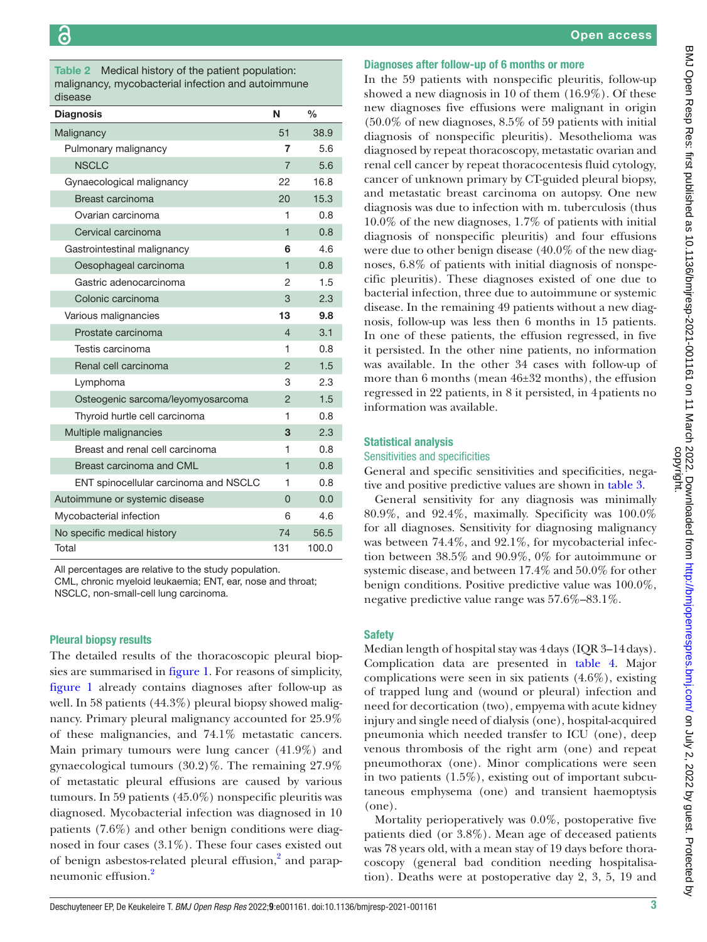<span id="page-2-0"></span>Table 2 Medical history of the patient population: malignancy, mycobacterial infection and autoimmune disease

| uiocuoc                               |                |               |
|---------------------------------------|----------------|---------------|
| <b>Diagnosis</b>                      | N              | $\frac{0}{0}$ |
| Malignancy                            | 51             | 38.9          |
| Pulmonary malignancy                  | 7              | 5.6           |
| <b>NSCLC</b>                          | $\overline{7}$ | 5.6           |
| Gynaecological malignancy             | 22             | 16.8          |
| Breast carcinoma                      | 20             | 15.3          |
| Ovarian carcinoma                     | 1              | 0.8           |
| Cervical carcinoma                    | $\overline{1}$ | 0.8           |
| Gastrointestinal malignancy           | 6              | 4.6           |
| Oesophageal carcinoma                 | 1              | 0.8           |
| Gastric adenocarcinoma                | 2              | 1.5           |
| Colonic carcinoma                     | 3              | 2.3           |
| Various malignancies                  | 13             | 9.8           |
| Prostate carcinoma                    | 4              | 3.1           |
| Testis carcinoma                      | 1              | 0.8           |
| Renal cell carcinoma                  | $\overline{2}$ | 1.5           |
| Lymphoma                              | 3              | 2.3           |
| Osteogenic sarcoma/leyomyosarcoma     | 2              | 1.5           |
| Thyroid hurtle cell carcinoma         | 1              | 0.8           |
| Multiple malignancies                 | 3              | 2.3           |
| Breast and renal cell carcinoma       | 1              | 0.8           |
| Breast carcinoma and CML              | $\mathbf{1}$   | 0.8           |
| ENT spinocellular carcinoma and NSCLC | 1              | 0.8           |
| Autoimmune or systemic disease        | $\overline{0}$ | 0.0           |
| Mycobacterial infection               | 6              | 4.6           |
| No specific medical history           | 74             | 56.5          |
| Total                                 | 131            | 100.0         |

All percentages are relative to the study population.

CML, chronic myeloid leukaemia; ENT, ear, nose and throat; NSCLC, non-small-cell lung carcinoma.

#### Pleural biopsy results

The detailed results of the thoracoscopic pleural biopsies are summarised in [figure](#page-3-0) 1. For reasons of simplicity, [figure](#page-3-0) 1 already contains diagnoses after follow-up as well. In 58 patients (44.3%) pleural biopsy showed malignancy. Primary pleural malignancy accounted for 25.9% of these malignancies, and 74.1% metastatic cancers. Main primary tumours were lung cancer (41.9%) and gynaecological tumours (30.2)%. The remaining 27.9% of metastatic pleural effusions are caused by various tumours. In 59 patients (45.0%) nonspecific pleuritis was diagnosed. Mycobacterial infection was diagnosed in 10 patients (7.6%) and other benign conditions were diagnosed in four cases (3.1%). These four cases existed out of benign asbestos-related pleural effusion,<sup>2</sup> and parapneumonic effusion.[2](#page-6-1)

#### Diagnoses after follow-up of 6 months or more

In the 59 patients with nonspecific pleuritis, follow-up showed a new diagnosis in 10 of them (16.9%). Of these new diagnoses five effusions were malignant in origin (50.0% of new diagnoses, 8.5% of 59 patients with initial diagnosis of nonspecific pleuritis). Mesothelioma was diagnosed by repeat thoracoscopy, metastatic ovarian and renal cell cancer by repeat thoracocentesis fluid cytology, cancer of unknown primary by CT-guided pleural biopsy, and metastatic breast carcinoma on autopsy. One new diagnosis was due to infection with m. tuberculosis (thus 10.0% of the new diagnoses, 1.7% of patients with initial diagnosis of nonspecific pleuritis) and four effusions were due to other benign disease (40.0% of the new diagnoses, 6.8% of patients with initial diagnosis of nonspecific pleuritis). These diagnoses existed of one due to bacterial infection, three due to autoimmune or systemic disease. In the remaining 49 patients without a new diagnosis, follow-up was less then 6 months in 15 patients. In one of these patients, the effusion regressed, in five it persisted. In the other nine patients, no information was available. In the other 34 cases with follow-up of more than 6 months (mean 46±32 months), the effusion regressed in 22 patients, in 8 it persisted, in 4patients no information was available.

#### Statistical analysis

#### Sensitivities and specificities

General and specific sensitivities and specificities, negative and positive predictive values are shown in [table](#page-3-1) 3.

General sensitivity for any diagnosis was minimally 80.9%, and 92.4%, maximally. Specificity was 100.0% for all diagnoses. Sensitivity for diagnosing malignancy was between 74.4%, and 92.1%, for mycobacterial infection between 38.5% and 90.9%, 0% for autoimmune or systemic disease, and between 17.4% and 50.0% for other benign conditions. Positive predictive value was 100.0%, negative predictive value range was 57.6%–83.1%.

#### Safety

Median length of hospital stay was 4days (IQR 3–14days). Complication data are presented in [table](#page-4-0) 4. Major complications were seen in six patients (4.6%), existing of trapped lung and (wound or pleural) infection and need for decortication (two), empyema with acute kidney injury and single need of dialysis (one), hospital-acquired pneumonia which needed transfer to ICU (one), deep venous thrombosis of the right arm (one) and repeat pneumothorax (one). Minor complications were seen in two patients (1.5%), existing out of important subcutaneous emphysema (one) and transient haemoptysis (one).

Mortality perioperatively was 0.0%, postoperative five patients died (or 3.8%). Mean age of deceased patients was 78 years old, with a mean stay of 19 days before thoracoscopy (general bad condition needing hospitalisation). Deaths were at postoperative day 2, 3, 5, 19 and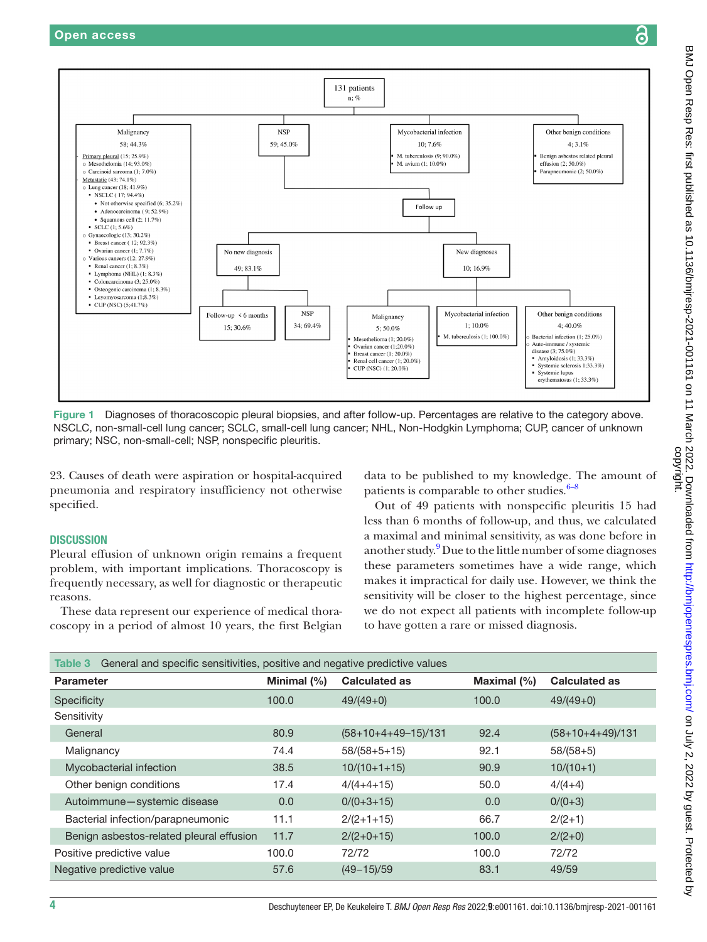

<span id="page-3-0"></span>23. Causes of death were aspiration or hospital-acquired pneumonia and respiratory insufficiency not otherwise specified.

#### **DISCUSSION**

Pleural effusion of unknown origin remains a frequent problem, with important implications. Thoracoscopy is frequently necessary, as well for diagnostic or therapeutic reasons.

These data represent our experience of medical thoracoscopy in a period of almost 10 years, the first Belgian

data to be published to my knowledge. The amount of patients is comparable to other studies. $6-8$ 

Out of 49 patients with nonspecific pleuritis 15 had less than 6 months of follow-up, and thus, we calculated a maximal and minimal sensitivity, as was done before in another study.<sup>[9](#page-6-5)</sup> Due to the little number of some diagnoses these parameters sometimes have a wide range, which makes it impractical for daily use. However, we think the sensitivity will be closer to the highest percentage, since we do not expect all patients with incomplete follow-up to have gotten a rare or missed diagnosis.

<span id="page-3-1"></span>

| General and specific sensitivities, positive and negative predictive values<br>Table 3 |             |                       |             |                      |  |  |
|----------------------------------------------------------------------------------------|-------------|-----------------------|-------------|----------------------|--|--|
| <b>Parameter</b>                                                                       | Minimal (%) | <b>Calculated as</b>  | Maximal (%) | <b>Calculated as</b> |  |  |
| Specificity                                                                            | 100.0       | $49/(49+0)$           | 100.0       | $49/(49+0)$          |  |  |
| Sensitivity                                                                            |             |                       |             |                      |  |  |
| General                                                                                | 80.9        | $(58+10+4+49-15)/131$ | 92.4        | $(58+10+4+49)/131$   |  |  |
| Malignancy                                                                             | 74.4        | $58/(58+5+15)$        | 92.1        | $58/(58+5)$          |  |  |
| Mycobacterial infection                                                                | 38.5        | $10/(10+1+15)$        | 90.9        | $10/(10+1)$          |  |  |
| Other benign conditions                                                                | 17.4        | $4/(4+4+15)$          | 50.0        | $4/(4+4)$            |  |  |
| Autoimmune-systemic disease                                                            | 0.0         | $0/(0+3+15)$          | 0.0         | $0/(0+3)$            |  |  |
| Bacterial infection/parapneumonic                                                      | 11.1        | $2/(2+1+15)$          | 66.7        | $2/(2+1)$            |  |  |
| Benign asbestos-related pleural effusion                                               | 11.7        | $2/(2+0+15)$          | 100.0       | $2/(2+0)$            |  |  |
| Positive predictive value                                                              | 100.0       | 72/72                 | 100.0       | 72/72                |  |  |
| Negative predictive value                                                              | 57.6        | $(49 - 15)/59$        | 83.1        | 49/59                |  |  |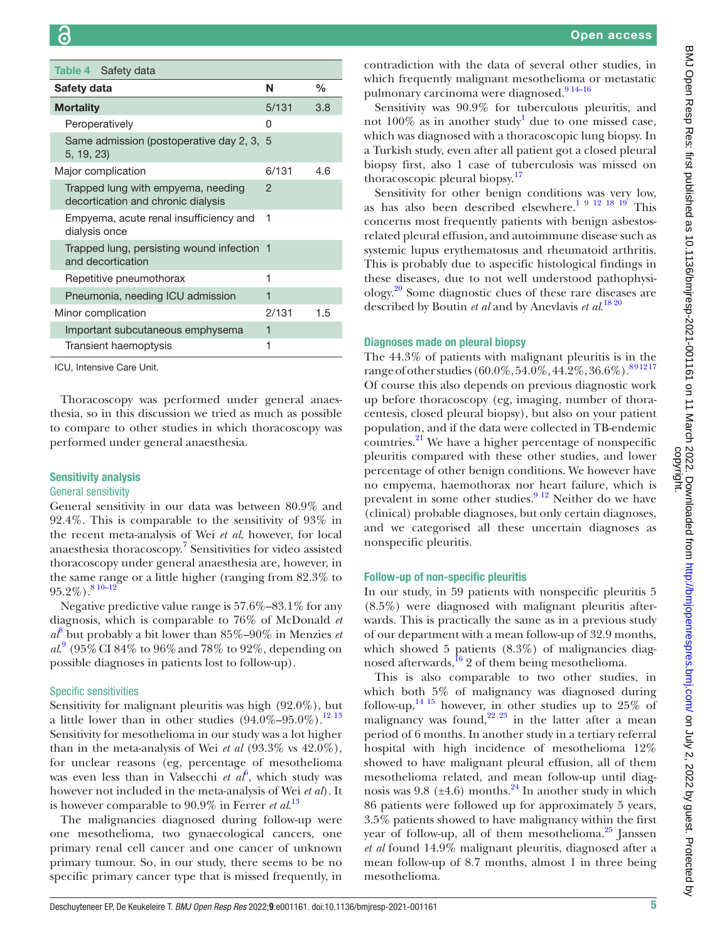<span id="page-4-0"></span>

| Table 4 Safety data                                                      |       |      |
|--------------------------------------------------------------------------|-------|------|
| Safety data                                                              | N     | $\%$ |
| <b>Mortality</b>                                                         | 5/131 | 3.8  |
| Peroperatively                                                           | Ω     |      |
| Same admission (postoperative day 2, 3, 5<br>5, 19, 23)                  |       |      |
| Major complication                                                       | 6/131 | 4 6  |
| Trapped lung with empyema, needing<br>decortication and chronic dialysis | 2     |      |
| Empyema, acute renal insufficiency and<br>dialysis once                  | 1     |      |
| Trapped lung, persisting wound infection 1<br>and decortication          |       |      |
| Repetitive pneumothorax                                                  | 1     |      |
| Pneumonia, needing ICU admission                                         | 1     |      |
| Minor complication                                                       | 2/131 | 1.5  |
| Important subcutaneous emphysema                                         | 1     |      |
| Transient haemoptysis                                                    | 1     |      |

ICU, Intensive Care Unit.

Thoracoscopy was performed under general anaesthesia, so in this discussion we tried as much as possible to compare to other studies in which thoracoscopy was performed under general anaesthesia.

#### Sensitivity analysis

#### General sensitivity

General sensitivity in our data was between 80.9% and 92.4%. This is comparable to the sensitivity of 93% in the recent meta-analysis of Wei *et al*, however, for local anaesthesia thoracoscopy.<sup>7</sup> Sensitivities for video assisted thoracoscopy under general anaesthesia are, however, in the same range or a little higher (ranging from 82.3% to  $95.2\%$ ).<sup>8</sup>  $10-12$ 

Negative predictive value range is 57.6%–83.1% for any diagnosis, which is comparable to 76% of McDonald *et*   $a^8$  $a^8$  but probably a bit lower than 85%–90% in Menzies *et al*. [9](#page-6-5) (95%CI 84% to 96%and 78% to 92%, depending on possible diagnoses in patients lost to follow-up).

#### Specific sensitivities

Sensitivity for malignant pleuritis was high (92.0%), but a little lower than in other studies  $(94.0\% - 95.0\%)$ .<sup>[12 13](#page-6-8)</sup> Sensitivity for mesothelioma in our study was a lot higher than in the meta-analysis of Wei *et al* (93.3% vs 42.0%), for unclear reasons (eg, percentage of mesothelioma was even less than in Valsecchi *et*  $a^{\hat{b}}$ , which study was however not included in the meta-analysis of Wei *et al*). It is however comparable to 90.9% in Ferrer *et al*. [13](#page-6-9)

The malignancies diagnosed during follow-up were one mesothelioma, two gynaecological cancers, one primary renal cell cancer and one cancer of unknown primary tumour. So, in our study, there seems to be no specific primary cancer type that is missed frequently, in

contradiction with the data of several other studies, in which frequently malignant mesothelioma or metastatic pulmonary carcinoma were diagnosed.<sup>914-16</sup>

Sensitivity was 90.9% for tuberculous pleuritis, and not  $100\%$  $100\%$  as in another study<sup>1</sup> due to one missed case, which was diagnosed with a thoracoscopic lung biopsy. In a Turkish study, even after all patient got a closed pleural biopsy first, also 1 case of tuberculosis was missed on thoracoscopic pleural biopsy.<sup>[17](#page-6-10)</sup>

Sensitivity for other benign conditions was very low, as has also been described elsewhere.<sup>1 9 12 18 19</sup> This concerns most frequently patients with benign asbestosrelated pleural effusion, and autoimmune disease such as systemic lupus erythematosus and rheumatoid arthritis. This is probably due to aspecific histological findings in these diseases, due to not well understood pathophysiology[.20](#page-6-11) Some diagnostic clues of these rare diseases are described by Boutin *et al* and by Anevlavis *et al*. [18 20](#page-6-12)

#### Diagnoses made on pleural biopsy

The 44.3% of patients with malignant pleuritis is in the range of other studies (60.0%, 54.0%, 44.2%, 36.6%).  $891217$ Of course this also depends on previous diagnostic work up before thoracoscopy (eg, imaging, number of thoracentesis, closed pleural biopsy), but also on your patient population, and if the data were collected in TB-endemic countries. $^{21}$  We have a higher percentage of nonspecific pleuritis compared with these other studies, and lower percentage of other benign conditions. We however have no empyema, haemothorax nor heart failure, which is prevalent in some other studies.<sup>9 12</sup> Neither do we have (clinical) probable diagnoses, but only certain diagnoses, and we categorised all these uncertain diagnoses as nonspecific pleuritis.

#### Follow-up of non-specific pleuritis

In our study, in 59 patients with nonspecific pleuritis 5 (8.5%) were diagnosed with malignant pleuritis afterwards. This is practically the same as in a previous study of our department with a mean follow-up of 32.9 months, which showed 5 patients (8.3%) of malignancies diagnosed afterwards,  $\frac{16}{2}$  of them being mesothelioma.

This is also comparable to two other studies, in which both 5% of malignancy was diagnosed during follow-up,  $^{14}$  15 however, in other studies up to 25% of malignancy was found, $2^{22}$  23 in the latter after a mean period of 6 months. In another study in a tertiary referral hospital with high incidence of mesothelioma 12% showed to have malignant pleural effusion, all of them mesothelioma related, and mean follow-up until diagnosis was  $9.8$  ( $\pm 4.6$ ) months.<sup>24</sup> In another study in which 86 patients were followed up for approximately 5 years, 3.5% patients showed to have malignancy within the first year of follow-up, all of them mesothelioma. $25$  Janssen *et al* found 14.9% malignant pleuritis, diagnosed after a mean follow-up of 8.7 months, almost 1 in three being mesothelioma.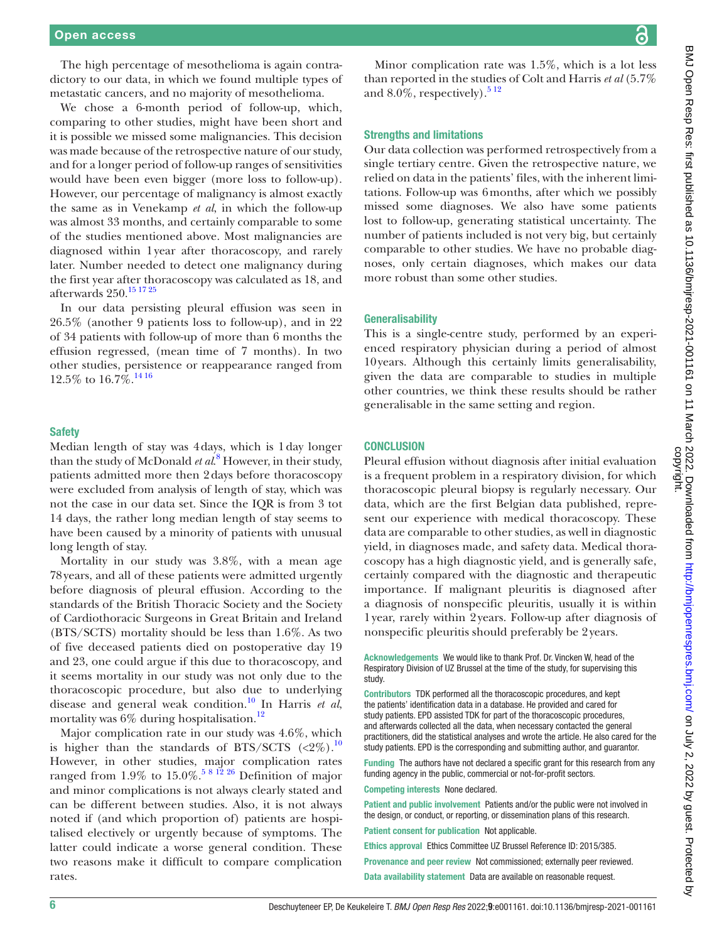The high percentage of mesothelioma is again contradictory to our data, in which we found multiple types of metastatic cancers, and no majority of mesothelioma.

We chose a 6-month period of follow-up, which, comparing to other studies, might have been short and it is possible we missed some malignancies. This decision was made because of the retrospective nature of our study, and for a longer period of follow-up ranges of sensitivities would have been even bigger (more loss to follow-up). However, our percentage of malignancy is almost exactly the same as in Venekamp *et al*, in which the follow-up was almost 33 months, and certainly comparable to some of the studies mentioned above. Most malignancies are diagnosed within 1year after thoracoscopy, and rarely later. Number needed to detect one malignancy during the first year after thoracoscopy was calculated as 18, and afterwards 250.[15 17 25](#page-6-19)

In our data persisting pleural effusion was seen in 26.5% (another 9 patients loss to follow-up), and in 22 of 34 patients with follow-up of more than 6 months the effusion regressed, (mean time of 7 months). In two other studies, persistence or reappearance ranged from 12.5% to  $16.7\%$ .<sup>[14 16](#page-6-15)</sup>

#### **Safety**

Median length of stay was 4days, which is 1day longer than the study of McDonald *et al*. [8](#page-6-7) However, in their study, patients admitted more then 2days before thoracoscopy were excluded from analysis of length of stay, which was not the case in our data set. Since the IQR is from 3 tot 14 days, the rather long median length of stay seems to have been caused by a minority of patients with unusual long length of stay.

Mortality in our study was 3.8%, with a mean age 78years, and all of these patients were admitted urgently before diagnosis of pleural effusion. According to the standards of the British Thoracic Society and the Society of Cardiothoracic Surgeons in Great Britain and Ireland (BTS/SCTS) mortality should be less than 1.6%. As two of five deceased patients died on postoperative day 19 and 23, one could argue if this due to thoracoscopy, and it seems mortality in our study was not only due to the thoracoscopic procedure, but also due to underlying disease and general weak condition.[10](#page-6-20) In Harris *et al*, mortality was  $6\%$  during hospitalisation.<sup>12</sup>

Major complication rate in our study was 4.6%, which is higher than the standards of BTS/SCTS  $(<2\%)$ .<sup>[10](#page-6-20)</sup> However, in other studies, major complication rates ranged from 1.9% to 15.0%.<sup>5 8 12</sup> 26 Definition of major and minor complications is not always clearly stated and can be different between studies. Also, it is not always noted if (and which proportion of) patients are hospitalised electively or urgently because of symptoms. The latter could indicate a worse general condition. These two reasons make it difficult to compare complication rates.

Minor complication rate was 1.5%, which is a lot less than reported in the studies of Colt and Harris *et al* (5.7% and  $8.0\%$ , respectively).<sup>512</sup>

#### Strengths and limitations

Our data collection was performed retrospectively from a single tertiary centre. Given the retrospective nature, we relied on data in the patients' files, with the inherent limitations. Follow-up was 6months, after which we possibly missed some diagnoses. We also have some patients lost to follow-up, generating statistical uncertainty. The number of patients included is not very big, but certainly comparable to other studies. We have no probable diagnoses, only certain diagnoses, which makes our data more robust than some other studies.

#### **Generalisability**

This is a single-centre study, performed by an experienced respiratory physician during a period of almost 10years. Although this certainly limits generalisability, given the data are comparable to studies in multiple other countries, we think these results should be rather generalisable in the same setting and region.

#### **CONCLUSION**

Pleural effusion without diagnosis after initial evaluation is a frequent problem in a respiratory division, for which thoracoscopic pleural biopsy is regularly necessary. Our data, which are the first Belgian data published, represent our experience with medical thoracoscopy. These data are comparable to other studies, as well in diagnostic yield, in diagnoses made, and safety data. Medical thoracoscopy has a high diagnostic yield, and is generally safe, certainly compared with the diagnostic and therapeutic importance. If malignant pleuritis is diagnosed after a diagnosis of nonspecific pleuritis, usually it is within 1year, rarely within 2years. Follow-up after diagnosis of nonspecific pleuritis should preferably be 2years.

Acknowledgements We would like to thank Prof. Dr. Vincken W, head of the Respiratory Division of UZ Brussel at the time of the study, for supervising this study.

Contributors TDK performed all the thoracoscopic procedures, and kept the patients' identification data in a database. He provided and cared for study patients. EPD assisted TDK for part of the thoracoscopic procedures, and afterwards collected all the data, when necessary contacted the general practitioners, did the statistical analyses and wrote the article. He also cared for the study patients. EPD is the corresponding and submitting author, and guarantor.

Funding The authors have not declared a specific grant for this research from any funding agency in the public, commercial or not-for-profit sectors.

Competing interests None declared.

Patient and public involvement Patients and/or the public were not involved in the design, or conduct, or reporting, or dissemination plans of this research.

Patient consent for publication Not applicable.

Ethics approval Ethics Committee UZ Brussel Reference ID: 2015/385.

Provenance and peer review Not commissioned; externally peer reviewed.

Data availability statement Data are available on reasonable request.